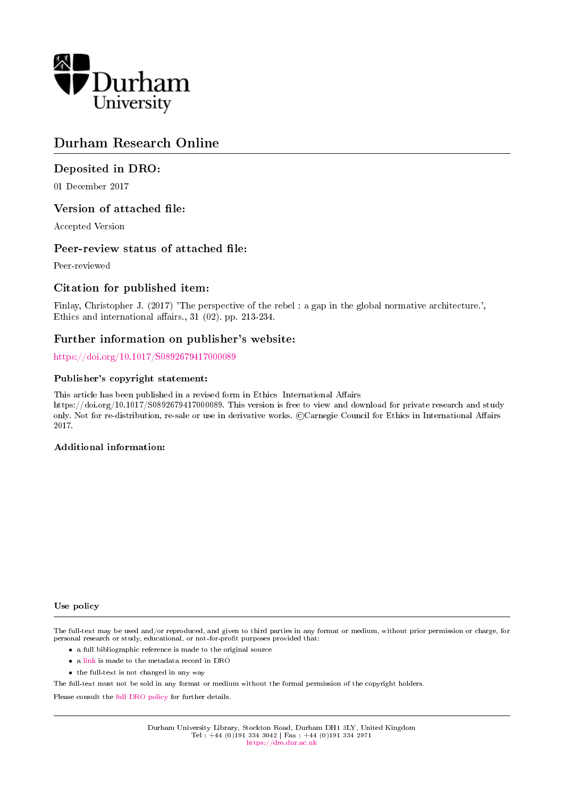

# Durham Research Online

# Deposited in DRO:

01 December 2017

# Version of attached file:

Accepted Version

# Peer-review status of attached file:

Peer-reviewed

# Citation for published item:

Finlay, Christopher J. (2017) 'The perspective of the rebel : a gap in the global normative architecture.', Ethics and international affairs.,  $31$  (02). pp. 213-234.

# Further information on publisher's website:

<https://doi.org/10.1017/S0892679417000089>

### Publisher's copyright statement:

This article has been published in a revised form in Ethics International Affairs https://doi.org/10.1017/S0892679417000089. This version is free to view and download for private research and study only. Not for re-distribution, re-sale or use in derivative works. ©Carnegie Council for Ethics in International Affairs 2017.

### Additional information:

#### Use policy

The full-text may be used and/or reproduced, and given to third parties in any format or medium, without prior permission or charge, for personal research or study, educational, or not-for-profit purposes provided that:

- a full bibliographic reference is made to the original source
- a [link](http://dro.dur.ac.uk/23613/) is made to the metadata record in DRO
- the full-text is not changed in any way

The full-text must not be sold in any format or medium without the formal permission of the copyright holders.

Please consult the [full DRO policy](https://dro.dur.ac.uk/policies/usepolicy.pdf) for further details.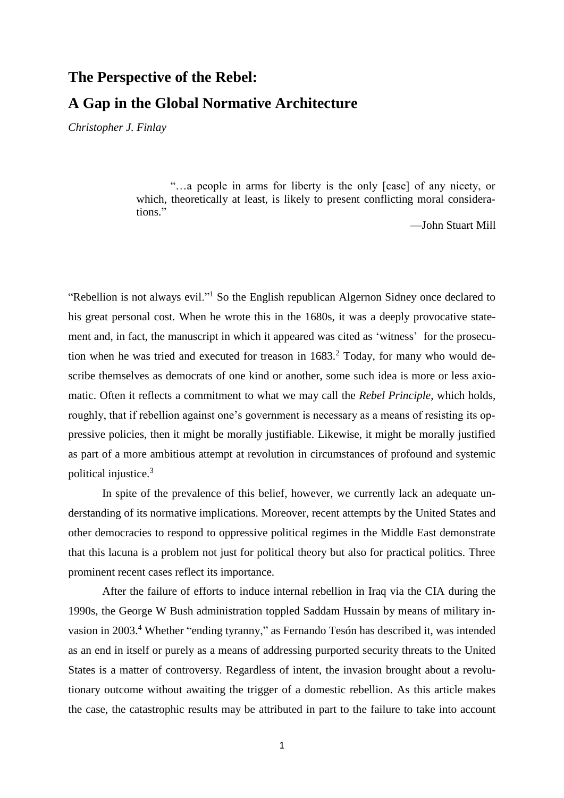# **The Perspective of the Rebel:**

# **A Gap in the Global Normative Architecture**

*Christopher J. Finlay*

"…a people in arms for liberty is the only [case] of any nicety, or which, theoretically at least, is likely to present conflicting moral considerations."

—John Stuart Mill

"Rebellion is not always evil."<sup>1</sup> So the English republican Algernon Sidney once declared to his great personal cost. When he wrote this in the 1680s, it was a deeply provocative statement and, in fact, the manuscript in which it appeared was cited as 'witness' for the prosecution when he was tried and executed for treason in  $1683<sup>2</sup>$  Today, for many who would describe themselves as democrats of one kind or another, some such idea is more or less axiomatic. Often it reflects a commitment to what we may call the *Rebel Principle*, which holds, roughly, that if rebellion against one's government is necessary as a means of resisting its oppressive policies, then it might be morally justifiable. Likewise, it might be morally justified as part of a more ambitious attempt at revolution in circumstances of profound and systemic political injustice.<sup>3</sup>

In spite of the prevalence of this belief, however, we currently lack an adequate understanding of its normative implications. Moreover, recent attempts by the United States and other democracies to respond to oppressive political regimes in the Middle East demonstrate that this lacuna is a problem not just for political theory but also for practical politics. Three prominent recent cases reflect its importance.

After the failure of efforts to induce internal rebellion in Iraq via the CIA during the 1990s, the George W Bush administration toppled Saddam Hussain by means of military invasion in 2003. <sup>4</sup> Whether "ending tyranny," as Fernando Tesón has described it, was intended as an end in itself or purely as a means of addressing purported security threats to the United States is a matter of controversy. Regardless of intent, the invasion brought about a revolutionary outcome without awaiting the trigger of a domestic rebellion. As this article makes the case, the catastrophic results may be attributed in part to the failure to take into account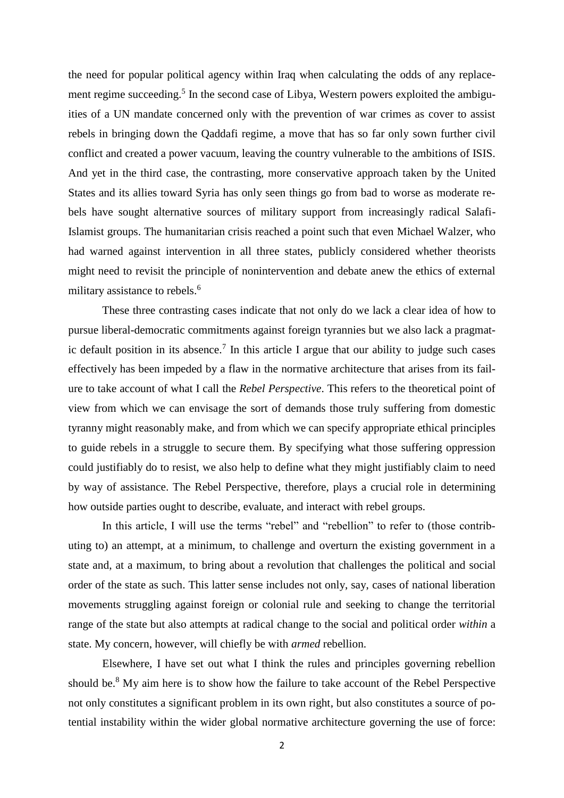the need for popular political agency within Iraq when calculating the odds of any replacement regime succeeding.<sup>5</sup> In the second case of Libya, Western powers exploited the ambiguities of a UN mandate concerned only with the prevention of war crimes as cover to assist rebels in bringing down the Qaddafi regime, a move that has so far only sown further civil conflict and created a power vacuum, leaving the country vulnerable to the ambitions of ISIS. And yet in the third case, the contrasting, more conservative approach taken by the United States and its allies toward Syria has only seen things go from bad to worse as moderate rebels have sought alternative sources of military support from increasingly radical Salafi-Islamist groups. The humanitarian crisis reached a point such that even Michael Walzer, who had warned against intervention in all three states, publicly considered whether theorists might need to revisit the principle of nonintervention and debate anew the ethics of external military assistance to rebels.<sup>6</sup>

These three contrasting cases indicate that not only do we lack a clear idea of how to pursue liberal-democratic commitments against foreign tyrannies but we also lack a pragmatic default position in its absence.<sup>7</sup> In this article I argue that our ability to judge such cases effectively has been impeded by a flaw in the normative architecture that arises from its failure to take account of what I call the *Rebel Perspective*. This refers to the theoretical point of view from which we can envisage the sort of demands those truly suffering from domestic tyranny might reasonably make, and from which we can specify appropriate ethical principles to guide rebels in a struggle to secure them. By specifying what those suffering oppression could justifiably do to resist, we also help to define what they might justifiably claim to need by way of assistance. The Rebel Perspective, therefore, plays a crucial role in determining how outside parties ought to describe, evaluate, and interact with rebel groups.

In this article, I will use the terms "rebel" and "rebellion" to refer to (those contributing to) an attempt, at a minimum, to challenge and overturn the existing government in a state and, at a maximum, to bring about a revolution that challenges the political and social order of the state as such. This latter sense includes not only, say, cases of national liberation movements struggling against foreign or colonial rule and seeking to change the territorial range of the state but also attempts at radical change to the social and political order *within* a state. My concern, however, will chiefly be with *armed* rebellion.

Elsewhere, I have set out what I think the rules and principles governing rebellion should be.<sup>8</sup> My aim here is to show how the failure to take account of the Rebel Perspective not only constitutes a significant problem in its own right, but also constitutes a source of potential instability within the wider global normative architecture governing the use of force: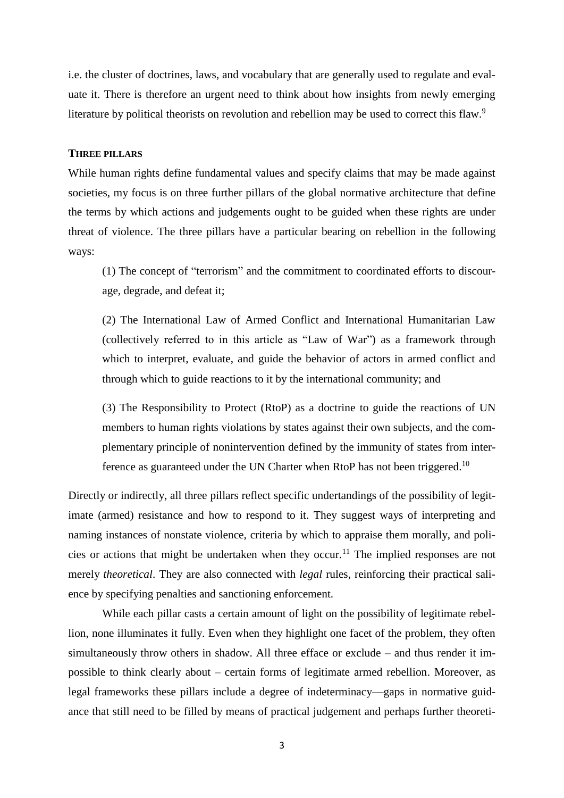i.e. the cluster of doctrines, laws, and vocabulary that are generally used to regulate and evaluate it. There is therefore an urgent need to think about how insights from newly emerging literature by political theorists on revolution and rebellion may be used to correct this flaw.<sup>9</sup>

### **THREE PILLARS**

While human rights define fundamental values and specify claims that may be made against societies, my focus is on three further pillars of the global normative architecture that define the terms by which actions and judgements ought to be guided when these rights are under threat of violence. The three pillars have a particular bearing on rebellion in the following ways:

(1) The concept of "terrorism" and the commitment to coordinated efforts to discourage, degrade, and defeat it;

(2) The International Law of Armed Conflict and International Humanitarian Law (collectively referred to in this article as "Law of War") as a framework through which to interpret, evaluate, and guide the behavior of actors in armed conflict and through which to guide reactions to it by the international community; and

(3) The Responsibility to Protect (RtoP) as a doctrine to guide the reactions of UN members to human rights violations by states against their own subjects, and the complementary principle of nonintervention defined by the immunity of states from interference as guaranteed under the UN Charter when RtoP has not been triggered.<sup>10</sup>

Directly or indirectly, all three pillars reflect specific undertandings of the possibility of legitimate (armed) resistance and how to respond to it. They suggest ways of interpreting and naming instances of nonstate violence, criteria by which to appraise them morally, and policies or actions that might be undertaken when they occur.<sup>11</sup> The implied responses are not merely *theoretical*. They are also connected with *legal* rules, reinforcing their practical salience by specifying penalties and sanctioning enforcement*.*

While each pillar casts a certain amount of light on the possibility of legitimate rebellion, none illuminates it fully. Even when they highlight one facet of the problem, they often simultaneously throw others in shadow. All three efface or exclude – and thus render it impossible to think clearly about – certain forms of legitimate armed rebellion. Moreover, as legal frameworks these pillars include a degree of indeterminacy—gaps in normative guidance that still need to be filled by means of practical judgement and perhaps further theoreti-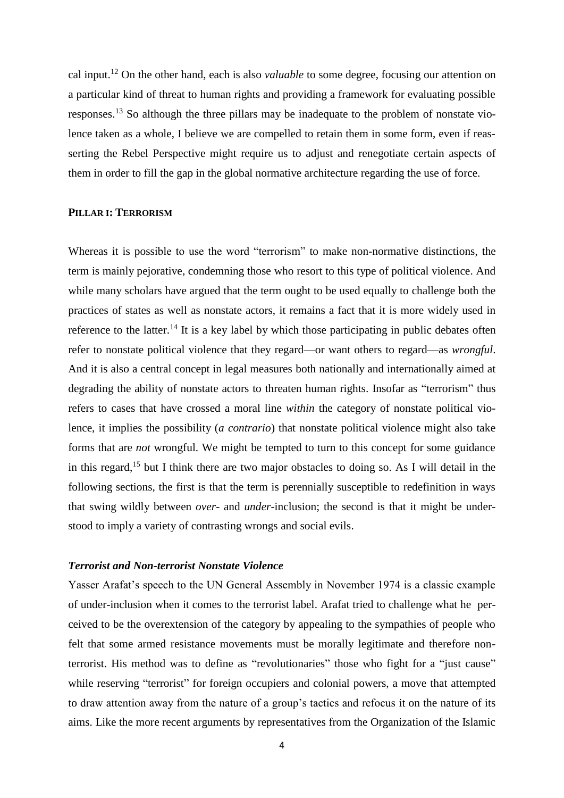cal input. <sup>12</sup> On the other hand, each is also *valuable* to some degree*,* focusing our attention on a particular kind of threat to human rights and providing a framework for evaluating possible responses.<sup>13</sup> So although the three pillars may be inadequate to the problem of nonstate violence taken as a whole, I believe we are compelled to retain them in some form, even if reasserting the Rebel Perspective might require us to adjust and renegotiate certain aspects of them in order to fill the gap in the global normative architecture regarding the use of force.

### **PILLAR I: TERRORISM**

Whereas it is possible to use the word "terrorism" to make non-normative distinctions, the term is mainly pejorative, condemning those who resort to this type of political violence. And while many scholars have argued that the term ought to be used equally to challenge both the practices of states as well as nonstate actors, it remains a fact that it is more widely used in reference to the latter.<sup>14</sup> It is a key label by which those participating in public debates often refer to nonstate political violence that they regard—or want others to regard—as *wrongful*. And it is also a central concept in legal measures both nationally and internationally aimed at degrading the ability of nonstate actors to threaten human rights. Insofar as "terrorism" thus refers to cases that have crossed a moral line *within* the category of nonstate political violence, it implies the possibility (*a contrario*) that nonstate political violence might also take forms that are *not* wrongful. We might be tempted to turn to this concept for some guidance in this regard,<sup>15</sup> but I think there are two major obstacles to doing so. As I will detail in the following sections, the first is that the term is perennially susceptible to redefinition in ways that swing wildly between *over-* and *under-*inclusion; the second is that it might be understood to imply a variety of contrasting wrongs and social evils.

## *Terrorist and Non-terrorist Nonstate Violence*

Yasser Arafat's speech to the UN General Assembly in November 1974 is a classic example of under-inclusion when it comes to the terrorist label. Arafat tried to challenge what he perceived to be the overextension of the category by appealing to the sympathies of people who felt that some armed resistance movements must be morally legitimate and therefore nonterrorist. His method was to define as "revolutionaries" those who fight for a "just cause" while reserving "terrorist" for foreign occupiers and colonial powers, a move that attempted to draw attention away from the nature of a group's tactics and refocus it on the nature of its aims. Like the more recent arguments by representatives from the Organization of the Islamic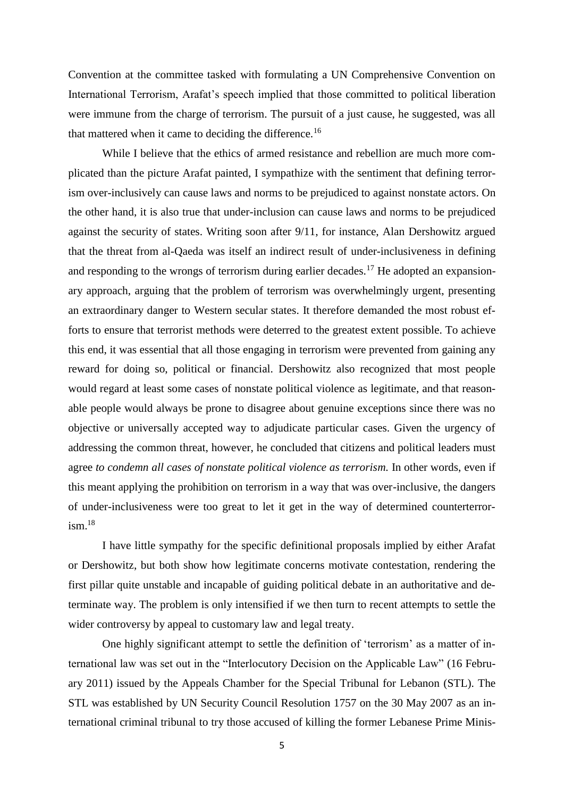Convention at the committee tasked with formulating a UN Comprehensive Convention on International Terrorism, Arafat's speech implied that those committed to political liberation were immune from the charge of terrorism. The pursuit of a just cause, he suggested, was all that mattered when it came to deciding the difference.<sup>16</sup>

While I believe that the ethics of armed resistance and rebellion are much more complicated than the picture Arafat painted, I sympathize with the sentiment that defining terrorism over*-*inclusively can cause laws and norms to be prejudiced to against nonstate actors. On the other hand, it is also true that under-inclusion can cause laws and norms to be prejudiced against the security of states. Writing soon after 9/11, for instance, Alan Dershowitz argued that the threat from al-Qaeda was itself an indirect result of under-inclusiveness in defining and responding to the wrongs of terrorism during earlier decades.<sup>17</sup> He adopted an expansionary approach, arguing that the problem of terrorism was overwhelmingly urgent, presenting an extraordinary danger to Western secular states. It therefore demanded the most robust efforts to ensure that terrorist methods were deterred to the greatest extent possible. To achieve this end, it was essential that all those engaging in terrorism were prevented from gaining any reward for doing so, political or financial. Dershowitz also recognized that most people would regard at least some cases of nonstate political violence as legitimate, and that reasonable people would always be prone to disagree about genuine exceptions since there was no objective or universally accepted way to adjudicate particular cases. Given the urgency of addressing the common threat, however, he concluded that citizens and political leaders must agree *to condemn all cases of nonstate political violence as terrorism.* In other words, even if this meant applying the prohibition on terrorism in a way that was over-inclusive, the dangers of under-inclusiveness were too great to let it get in the way of determined counterterror $i$ sm. $18$ 

I have little sympathy for the specific definitional proposals implied by either Arafat or Dershowitz, but both show how legitimate concerns motivate contestation, rendering the first pillar quite unstable and incapable of guiding political debate in an authoritative and determinate way. The problem is only intensified if we then turn to recent attempts to settle the wider controversy by appeal to customary law and legal treaty.

One highly significant attempt to settle the definition of 'terrorism' as a matter of international law was set out in the "Interlocutory Decision on the Applicable Law" (16 February 2011) issued by the Appeals Chamber for the Special Tribunal for Lebanon (STL). The STL was established by UN Security Council Resolution 1757 on the 30 May 2007 as an international criminal tribunal to try those accused of killing the former Lebanese Prime Minis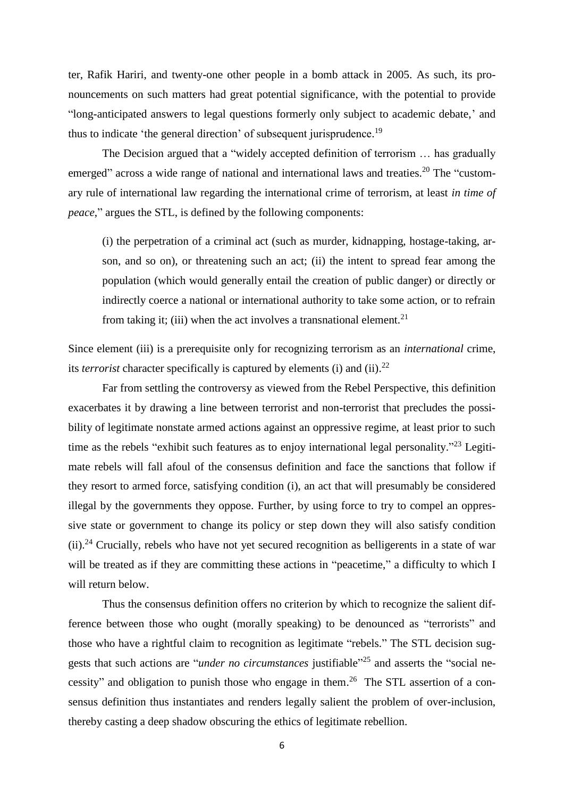ter, Rafik Hariri, and twenty-one other people in a bomb attack in 2005. As such, its pronouncements on such matters had great potential significance, with the potential to provide "long-anticipated answers to legal questions formerly only subject to academic debate,' and thus to indicate 'the general direction' of subsequent jurisprudence.<sup>19</sup>

The Decision argued that a "widely accepted definition of terrorism … has gradually emerged" across a wide range of national and international laws and treaties.<sup>20</sup> The "customary rule of international law regarding the international crime of terrorism, at least *in time of peace*," argues the STL, is defined by the following components:

(i) the perpetration of a criminal act (such as murder, kidnapping, hostage-taking, arson, and so on), or threatening such an act; (ii) the intent to spread fear among the population (which would generally entail the creation of public danger) or directly or indirectly coerce a national or international authority to take some action, or to refrain from taking it; (iii) when the act involves a transnational element.<sup>21</sup>

Since element (iii) is a prerequisite only for recognizing terrorism as an *international* crime, its *terrorist* character specifically is captured by elements (i) and (ii). 22

Far from settling the controversy as viewed from the Rebel Perspective, this definition exacerbates it by drawing a line between terrorist and non-terrorist that precludes the possibility of legitimate nonstate armed actions against an oppressive regime, at least prior to such time as the rebels "exhibit such features as to enjoy international legal personality."<sup>23</sup> Legitimate rebels will fall afoul of the consensus definition and face the sanctions that follow if they resort to armed force, satisfying condition (i), an act that will presumably be considered illegal by the governments they oppose. Further, by using force to try to compel an oppressive state or government to change its policy or step down they will also satisfy condition  $(ii).<sup>24</sup> Crucially, rebels who have not vet secured recognition as belligerents in a state of war$ will be treated as if they are committing these actions in "peacetime," a difficulty to which I will return below.

Thus the consensus definition offers no criterion by which to recognize the salient difference between those who ought (morally speaking) to be denounced as "terrorists" and those who have a rightful claim to recognition as legitimate "rebels." The STL decision suggests that such actions are "*under no circumstances* justifiable"<sup>25</sup> and asserts the "social necessity" and obligation to punish those who engage in them.<sup>26</sup> The STL assertion of a consensus definition thus instantiates and renders legally salient the problem of over-inclusion, thereby casting a deep shadow obscuring the ethics of legitimate rebellion.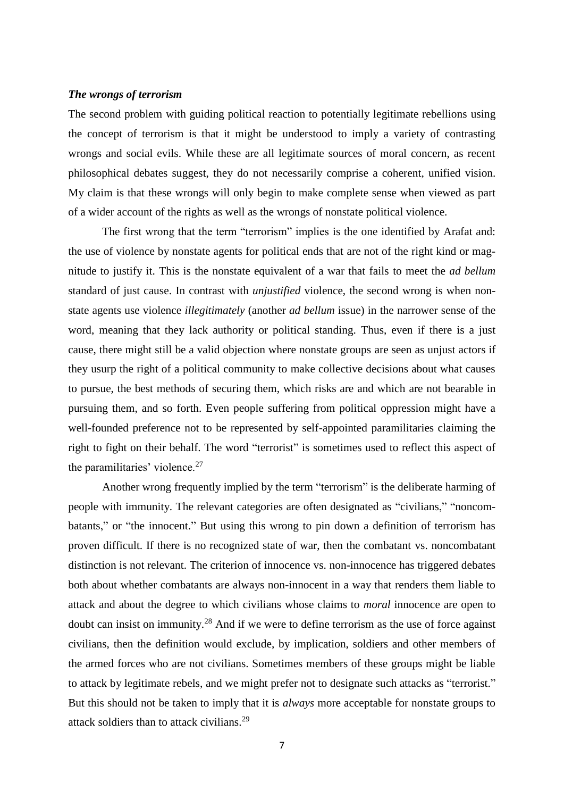### *The wrongs of terrorism*

The second problem with guiding political reaction to potentially legitimate rebellions using the concept of terrorism is that it might be understood to imply a variety of contrasting wrongs and social evils. While these are all legitimate sources of moral concern, as recent philosophical debates suggest, they do not necessarily comprise a coherent, unified vision. My claim is that these wrongs will only begin to make complete sense when viewed as part of a wider account of the rights as well as the wrongs of nonstate political violence.

The first wrong that the term "terrorism" implies is the one identified by Arafat and: the use of violence by nonstate agents for political ends that are not of the right kind or magnitude to justify it. This is the nonstate equivalent of a war that fails to meet the *ad bellum*  standard of just cause. In contrast with *unjustified* violence, the second wrong is when nonstate agents use violence *illegitimately* (another *ad bellum* issue) in the narrower sense of the word, meaning that they lack authority or political standing*.* Thus, even if there is a just cause, there might still be a valid objection where nonstate groups are seen as unjust actors if they usurp the right of a political community to make collective decisions about what causes to pursue, the best methods of securing them, which risks are and which are not bearable in pursuing them, and so forth. Even people suffering from political oppression might have a well-founded preference not to be represented by self-appointed paramilitaries claiming the right to fight on their behalf. The word "terrorist" is sometimes used to reflect this aspect of the paramilitaries' violence. $27$ 

Another wrong frequently implied by the term "terrorism" is the deliberate harming of people with immunity. The relevant categories are often designated as "civilians," "noncombatants," or "the innocent." But using this wrong to pin down a definition of terrorism has proven difficult. If there is no recognized state of war, then the combatant vs. noncombatant distinction is not relevant. The criterion of innocence vs. non-innocence has triggered debates both about whether combatants are always non-innocent in a way that renders them liable to attack and about the degree to which civilians whose claims to *moral* innocence are open to doubt can insist on immunity.<sup>28</sup> And if we were to define terrorism as the use of force against civilians, then the definition would exclude, by implication, soldiers and other members of the armed forces who are not civilians. Sometimes members of these groups might be liable to attack by legitimate rebels, and we might prefer not to designate such attacks as "terrorist." But this should not be taken to imply that it is *always* more acceptable for nonstate groups to attack soldiers than to attack civilians.<sup>29</sup>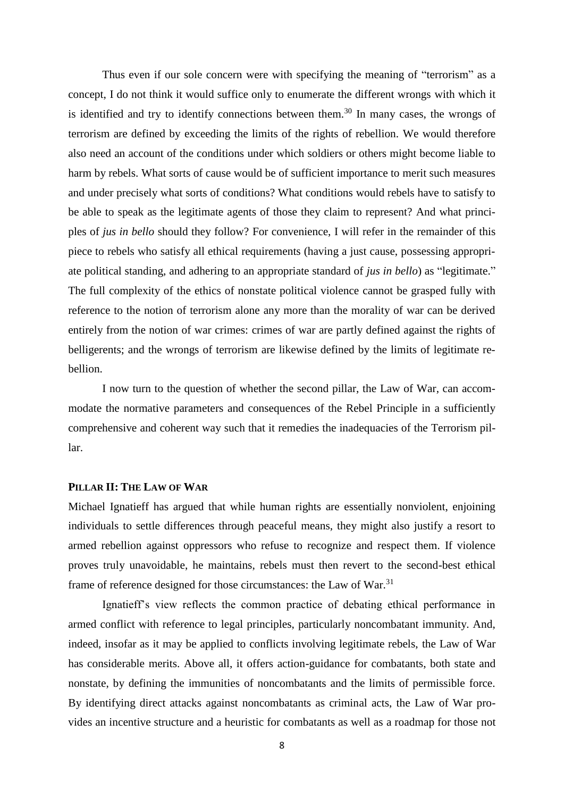Thus even if our sole concern were with specifying the meaning of "terrorism" as a concept, I do not think it would suffice only to enumerate the different wrongs with which it is identified and try to identify connections between them.<sup>30</sup> In many cases, the wrongs of terrorism are defined by exceeding the limits of the rights of rebellion. We would therefore also need an account of the conditions under which soldiers or others might become liable to harm by rebels. What sorts of cause would be of sufficient importance to merit such measures and under precisely what sorts of conditions? What conditions would rebels have to satisfy to be able to speak as the legitimate agents of those they claim to represent? And what principles of *jus in bello* should they follow? For convenience, I will refer in the remainder of this piece to rebels who satisfy all ethical requirements (having a just cause, possessing appropriate political standing, and adhering to an appropriate standard of *jus in bello*) as "legitimate." The full complexity of the ethics of nonstate political violence cannot be grasped fully with reference to the notion of terrorism alone any more than the morality of war can be derived entirely from the notion of war crimes: crimes of war are partly defined against the rights of belligerents; and the wrongs of terrorism are likewise defined by the limits of legitimate rebellion.

I now turn to the question of whether the second pillar, the Law of War, can accommodate the normative parameters and consequences of the Rebel Principle in a sufficiently comprehensive and coherent way such that it remedies the inadequacies of the Terrorism pillar.

### **PILLAR II: THE LAW OF WAR**

Michael Ignatieff has argued that while human rights are essentially nonviolent, enjoining individuals to settle differences through peaceful means, they might also justify a resort to armed rebellion against oppressors who refuse to recognize and respect them. If violence proves truly unavoidable, he maintains, rebels must then revert to the second-best ethical frame of reference designed for those circumstances: the Law of War.<sup>31</sup>

Ignatieff's view reflects the common practice of debating ethical performance in armed conflict with reference to legal principles, particularly noncombatant immunity. And, indeed, insofar as it may be applied to conflicts involving legitimate rebels, the Law of War has considerable merits. Above all, it offers action-guidance for combatants, both state and nonstate, by defining the immunities of noncombatants and the limits of permissible force. By identifying direct attacks against noncombatants as criminal acts, the Law of War provides an incentive structure and a heuristic for combatants as well as a roadmap for those not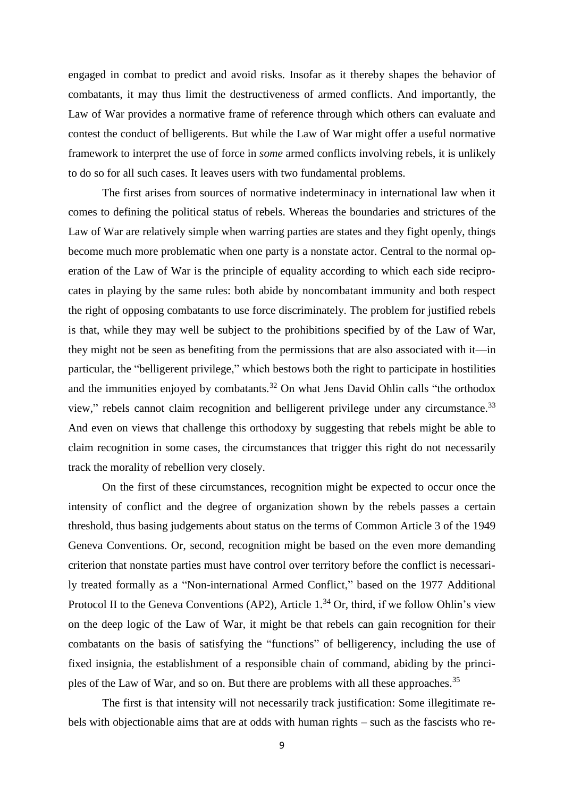engaged in combat to predict and avoid risks. Insofar as it thereby shapes the behavior of combatants, it may thus limit the destructiveness of armed conflicts. And importantly, the Law of War provides a normative frame of reference through which others can evaluate and contest the conduct of belligerents. But while the Law of War might offer a useful normative framework to interpret the use of force in *some* armed conflicts involving rebels, it is unlikely to do so for all such cases. It leaves users with two fundamental problems.

The first arises from sources of normative indeterminacy in international law when it comes to defining the political status of rebels. Whereas the boundaries and strictures of the Law of War are relatively simple when warring parties are states and they fight openly, things become much more problematic when one party is a nonstate actor. Central to the normal operation of the Law of War is the principle of equality according to which each side reciprocates in playing by the same rules: both abide by noncombatant immunity and both respect the right of opposing combatants to use force discriminately. The problem for justified rebels is that, while they may well be subject to the prohibitions specified by of the Law of War, they might not be seen as benefiting from the permissions that are also associated with it—in particular, the "belligerent privilege," which bestows both the right to participate in hostilities and the immunities enjoyed by combatants.<sup>32</sup> On what Jens David Ohlin calls "the orthodox" view," rebels cannot claim recognition and belligerent privilege under any circumstance.<sup>33</sup> And even on views that challenge this orthodoxy by suggesting that rebels might be able to claim recognition in some cases, the circumstances that trigger this right do not necessarily track the morality of rebellion very closely.

On the first of these circumstances, recognition might be expected to occur once the intensity of conflict and the degree of organization shown by the rebels passes a certain threshold, thus basing judgements about status on the terms of Common Article 3 of the 1949 Geneva Conventions. Or, second, recognition might be based on the even more demanding criterion that nonstate parties must have control over territory before the conflict is necessarily treated formally as a "Non-international Armed Conflict," based on the 1977 Additional Protocol II to the Geneva Conventions (AP2), Article  $1.^{34}$  Or, third, if we follow Ohlin's view on the deep logic of the Law of War, it might be that rebels can gain recognition for their combatants on the basis of satisfying the "functions" of belligerency, including the use of fixed insignia, the establishment of a responsible chain of command, abiding by the principles of the Law of War, and so on. But there are problems with all these approaches.<sup>35</sup>

The first is that intensity will not necessarily track justification: Some illegitimate rebels with objectionable aims that are at odds with human rights – such as the fascists who re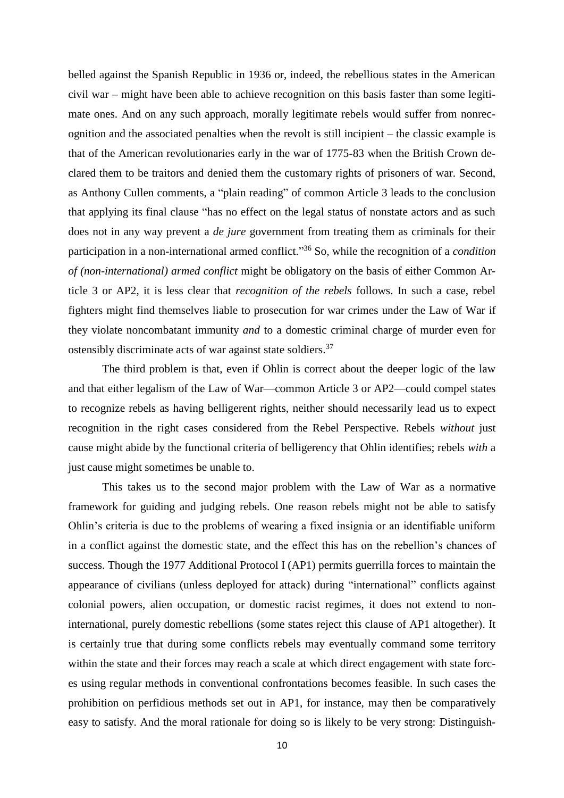belled against the Spanish Republic in 1936 or, indeed, the rebellious states in the American civil war – might have been able to achieve recognition on this basis faster than some legitimate ones. And on any such approach, morally legitimate rebels would suffer from nonrecognition and the associated penalties when the revolt is still incipient – the classic example is that of the American revolutionaries early in the war of 1775-83 when the British Crown declared them to be traitors and denied them the customary rights of prisoners of war. Second, as Anthony Cullen comments, a "plain reading" of common Article 3 leads to the conclusion that applying its final clause "has no effect on the legal status of nonstate actors and as such does not in any way prevent a *de jure* government from treating them as criminals for their participation in a non-international armed conflict." <sup>36</sup> So, while the recognition of a *condition of (non-international) armed conflict* might be obligatory on the basis of either Common Article 3 or AP2, it is less clear that *recognition of the rebels* follows. In such a case, rebel fighters might find themselves liable to prosecution for war crimes under the Law of War if they violate noncombatant immunity *and* to a domestic criminal charge of murder even for ostensibly discriminate acts of war against state soldiers.<sup>37</sup>

The third problem is that, even if Ohlin is correct about the deeper logic of the law and that either legalism of the Law of War—common Article 3 or AP2—could compel states to recognize rebels as having belligerent rights, neither should necessarily lead us to expect recognition in the right cases considered from the Rebel Perspective. Rebels *without* just cause might abide by the functional criteria of belligerency that Ohlin identifies; rebels *with* a just cause might sometimes be unable to.

This takes us to the second major problem with the Law of War as a normative framework for guiding and judging rebels. One reason rebels might not be able to satisfy Ohlin's criteria is due to the problems of wearing a fixed insignia or an identifiable uniform in a conflict against the domestic state, and the effect this has on the rebellion's chances of success. Though the 1977 Additional Protocol I (AP1) permits guerrilla forces to maintain the appearance of civilians (unless deployed for attack) during "international" conflicts against colonial powers, alien occupation, or domestic racist regimes, it does not extend to noninternational, purely domestic rebellions (some states reject this clause of AP1 altogether). It is certainly true that during some conflicts rebels may eventually command some territory within the state and their forces may reach a scale at which direct engagement with state forces using regular methods in conventional confrontations becomes feasible. In such cases the prohibition on perfidious methods set out in AP1, for instance, may then be comparatively easy to satisfy. And the moral rationale for doing so is likely to be very strong: Distinguish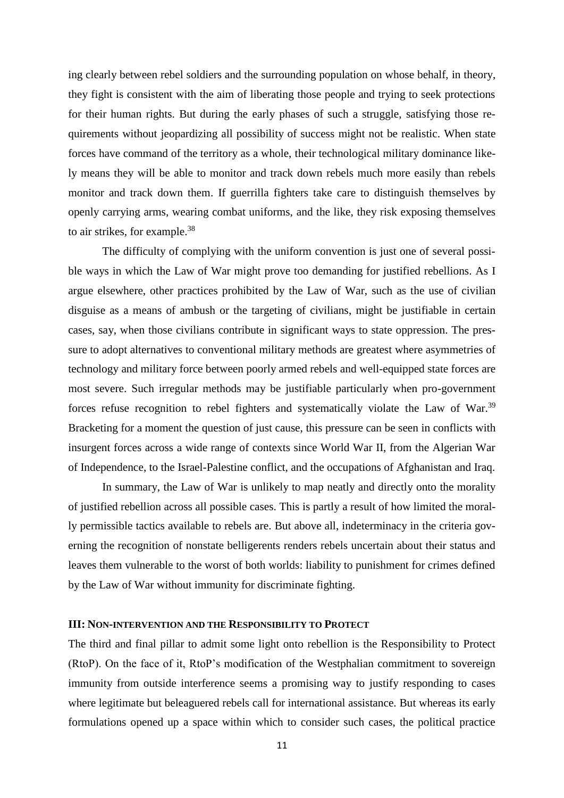ing clearly between rebel soldiers and the surrounding population on whose behalf, in theory, they fight is consistent with the aim of liberating those people and trying to seek protections for their human rights. But during the early phases of such a struggle, satisfying those requirements without jeopardizing all possibility of success might not be realistic. When state forces have command of the territory as a whole, their technological military dominance likely means they will be able to monitor and track down rebels much more easily than rebels monitor and track down them. If guerrilla fighters take care to distinguish themselves by openly carrying arms, wearing combat uniforms, and the like, they risk exposing themselves to air strikes, for example.<sup>38</sup>

The difficulty of complying with the uniform convention is just one of several possible ways in which the Law of War might prove too demanding for justified rebellions. As I argue elsewhere, other practices prohibited by the Law of War, such as the use of civilian disguise as a means of ambush or the targeting of civilians, might be justifiable in certain cases, say, when those civilians contribute in significant ways to state oppression. The pressure to adopt alternatives to conventional military methods are greatest where asymmetries of technology and military force between poorly armed rebels and well-equipped state forces are most severe. Such irregular methods may be justifiable particularly when pro-government forces refuse recognition to rebel fighters and systematically violate the Law of War.<sup>39</sup> Bracketing for a moment the question of just cause, this pressure can be seen in conflicts with insurgent forces across a wide range of contexts since World War II, from the Algerian War of Independence, to the Israel-Palestine conflict, and the occupations of Afghanistan and Iraq.

In summary, the Law of War is unlikely to map neatly and directly onto the morality of justified rebellion across all possible cases. This is partly a result of how limited the morally permissible tactics available to rebels are. But above all, indeterminacy in the criteria governing the recognition of nonstate belligerents renders rebels uncertain about their status and leaves them vulnerable to the worst of both worlds: liability to punishment for crimes defined by the Law of War without immunity for discriminate fighting.

## **III: NON-INTERVENTION AND THE RESPONSIBILITY TO PROTECT**

The third and final pillar to admit some light onto rebellion is the Responsibility to Protect (RtoP). On the face of it, RtoP's modification of the Westphalian commitment to sovereign immunity from outside interference seems a promising way to justify responding to cases where legitimate but beleaguered rebels call for international assistance. But whereas its early formulations opened up a space within which to consider such cases, the political practice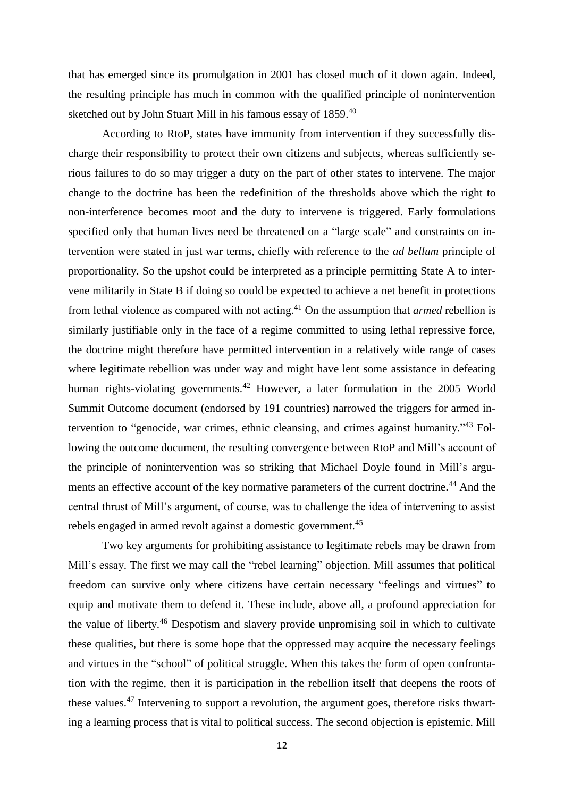that has emerged since its promulgation in 2001 has closed much of it down again. Indeed, the resulting principle has much in common with the qualified principle of nonintervention sketched out by John Stuart Mill in his famous essay of 1859.<sup>40</sup>

According to RtoP, states have immunity from intervention if they successfully discharge their responsibility to protect their own citizens and subjects, whereas sufficiently serious failures to do so may trigger a duty on the part of other states to intervene. The major change to the doctrine has been the redefinition of the thresholds above which the right to non-interference becomes moot and the duty to intervene is triggered. Early formulations specified only that human lives need be threatened on a "large scale" and constraints on intervention were stated in just war terms, chiefly with reference to the *ad bellum* principle of proportionality. So the upshot could be interpreted as a principle permitting State A to intervene militarily in State B if doing so could be expected to achieve a net benefit in protections from lethal violence as compared with not acting.<sup>41</sup> On the assumption that *armed* rebellion is similarly justifiable only in the face of a regime committed to using lethal repressive force, the doctrine might therefore have permitted intervention in a relatively wide range of cases where legitimate rebellion was under way and might have lent some assistance in defeating human rights-violating governments.<sup>42</sup> However, a later formulation in the 2005 World Summit Outcome document (endorsed by 191 countries) narrowed the triggers for armed intervention to "genocide, war crimes, ethnic cleansing, and crimes against humanity."<sup>43</sup> Following the outcome document, the resulting convergence between RtoP and Mill's account of the principle of nonintervention was so striking that Michael Doyle found in Mill's arguments an effective account of the key normative parameters of the current doctrine.<sup>44</sup> And the central thrust of Mill's argument, of course, was to challenge the idea of intervening to assist rebels engaged in armed revolt against a domestic government.<sup>45</sup>

Two key arguments for prohibiting assistance to legitimate rebels may be drawn from Mill's essay. The first we may call the "rebel learning" objection. Mill assumes that political freedom can survive only where citizens have certain necessary "feelings and virtues" to equip and motivate them to defend it. These include, above all, a profound appreciation for the value of liberty.<sup>46</sup> Despotism and slavery provide unpromising soil in which to cultivate these qualities, but there is some hope that the oppressed may acquire the necessary feelings and virtues in the "school" of political struggle. When this takes the form of open confrontation with the regime, then it is participation in the rebellion itself that deepens the roots of these values.<sup>47</sup> Intervening to support a revolution, the argument goes, therefore risks thwarting a learning process that is vital to political success. The second objection is epistemic. Mill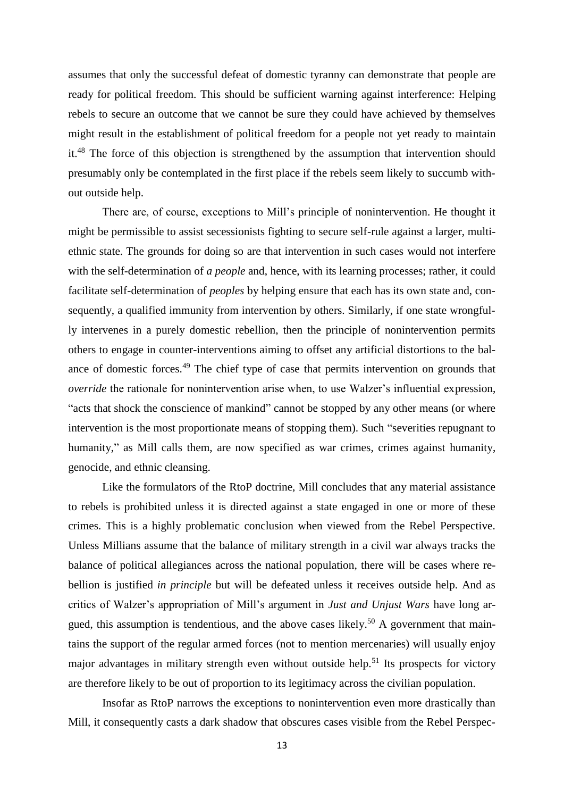assumes that only the successful defeat of domestic tyranny can demonstrate that people are ready for political freedom. This should be sufficient warning against interference: Helping rebels to secure an outcome that we cannot be sure they could have achieved by themselves might result in the establishment of political freedom for a people not yet ready to maintain it.<sup>48</sup> The force of this objection is strengthened by the assumption that intervention should presumably only be contemplated in the first place if the rebels seem likely to succumb without outside help.

There are, of course, exceptions to Mill's principle of nonintervention. He thought it might be permissible to assist secessionists fighting to secure self-rule against a larger, multiethnic state. The grounds for doing so are that intervention in such cases would not interfere with the self-determination of *a people* and, hence, with its learning processes; rather, it could facilitate self-determination of *peoples* by helping ensure that each has its own state and, consequently, a qualified immunity from intervention by others. Similarly, if one state wrongfully intervenes in a purely domestic rebellion, then the principle of nonintervention permits others to engage in counter-interventions aiming to offset any artificial distortions to the balance of domestic forces.<sup>49</sup> The chief type of case that permits intervention on grounds that *override* the rationale for nonintervention arise when, to use Walzer's influential expression, "acts that shock the conscience of mankind" cannot be stopped by any other means (or where intervention is the most proportionate means of stopping them). Such "severities repugnant to humanity," as Mill calls them, are now specified as war crimes, crimes against humanity, genocide, and ethnic cleansing.

Like the formulators of the RtoP doctrine, Mill concludes that any material assistance to rebels is prohibited unless it is directed against a state engaged in one or more of these crimes. This is a highly problematic conclusion when viewed from the Rebel Perspective. Unless Millians assume that the balance of military strength in a civil war always tracks the balance of political allegiances across the national population, there will be cases where rebellion is justified *in principle* but will be defeated unless it receives outside help. And as critics of Walzer's appropriation of Mill's argument in *Just and Unjust Wars* have long argued, this assumption is tendentious, and the above cases likely.<sup>50</sup> A government that maintains the support of the regular armed forces (not to mention mercenaries) will usually enjoy major advantages in military strength even without outside help.<sup>51</sup> Its prospects for victory are therefore likely to be out of proportion to its legitimacy across the civilian population.

Insofar as RtoP narrows the exceptions to nonintervention even more drastically than Mill, it consequently casts a dark shadow that obscures cases visible from the Rebel Perspec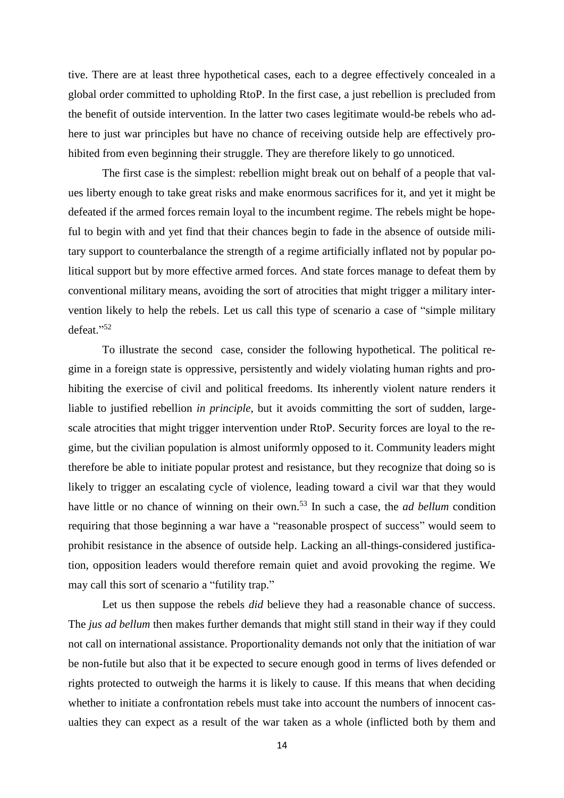tive. There are at least three hypothetical cases, each to a degree effectively concealed in a global order committed to upholding RtoP. In the first case, a just rebellion is precluded from the benefit of outside intervention. In the latter two cases legitimate would-be rebels who adhere to just war principles but have no chance of receiving outside help are effectively prohibited from even beginning their struggle. They are therefore likely to go unnoticed.

The first case is the simplest: rebellion might break out on behalf of a people that values liberty enough to take great risks and make enormous sacrifices for it, and yet it might be defeated if the armed forces remain loyal to the incumbent regime. The rebels might be hopeful to begin with and yet find that their chances begin to fade in the absence of outside military support to counterbalance the strength of a regime artificially inflated not by popular political support but by more effective armed forces. And state forces manage to defeat them by conventional military means, avoiding the sort of atrocities that might trigger a military intervention likely to help the rebels. Let us call this type of scenario a case of "simple military defeat." 52

To illustrate the second case, consider the following hypothetical. The political regime in a foreign state is oppressive, persistently and widely violating human rights and prohibiting the exercise of civil and political freedoms. Its inherently violent nature renders it liable to justified rebellion *in principle*, but it avoids committing the sort of sudden, largescale atrocities that might trigger intervention under RtoP. Security forces are loyal to the regime, but the civilian population is almost uniformly opposed to it. Community leaders might therefore be able to initiate popular protest and resistance, but they recognize that doing so is likely to trigger an escalating cycle of violence, leading toward a civil war that they would have little or no chance of winning on their own.<sup>53</sup> In such a case, the *ad bellum* condition requiring that those beginning a war have a "reasonable prospect of success" would seem to prohibit resistance in the absence of outside help. Lacking an all-things-considered justification, opposition leaders would therefore remain quiet and avoid provoking the regime. We may call this sort of scenario a "futility trap."

Let us then suppose the rebels *did* believe they had a reasonable chance of success. The *jus ad bellum* then makes further demands that might still stand in their way if they could not call on international assistance. Proportionality demands not only that the initiation of war be non-futile but also that it be expected to secure enough good in terms of lives defended or rights protected to outweigh the harms it is likely to cause. If this means that when deciding whether to initiate a confrontation rebels must take into account the numbers of innocent casualties they can expect as a result of the war taken as a whole (inflicted both by them and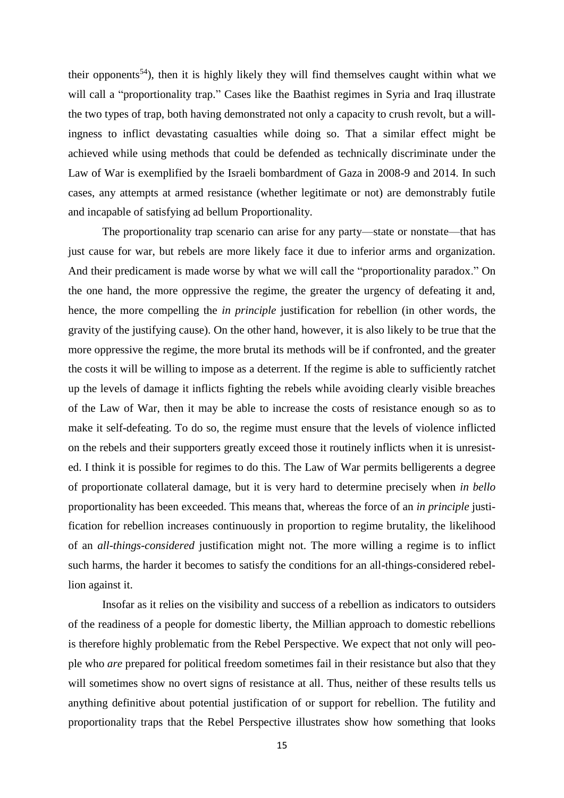their opponents<sup>54</sup>), then it is highly likely they will find themselves caught within what we will call a "proportionality trap." Cases like the Baathist regimes in Syria and Iraq illustrate the two types of trap, both having demonstrated not only a capacity to crush revolt, but a willingness to inflict devastating casualties while doing so. That a similar effect might be achieved while using methods that could be defended as technically discriminate under the Law of War is exemplified by the Israeli bombardment of Gaza in 2008-9 and 2014. In such cases, any attempts at armed resistance (whether legitimate or not) are demonstrably futile and incapable of satisfying ad bellum Proportionality.

The proportionality trap scenario can arise for any party—state or nonstate—that has just cause for war, but rebels are more likely face it due to inferior arms and organization. And their predicament is made worse by what we will call the "proportionality paradox." On the one hand, the more oppressive the regime, the greater the urgency of defeating it and, hence, the more compelling the *in principle* justification for rebellion (in other words, the gravity of the justifying cause). On the other hand, however, it is also likely to be true that the more oppressive the regime, the more brutal its methods will be if confronted, and the greater the costs it will be willing to impose as a deterrent. If the regime is able to sufficiently ratchet up the levels of damage it inflicts fighting the rebels while avoiding clearly visible breaches of the Law of War, then it may be able to increase the costs of resistance enough so as to make it self-defeating. To do so, the regime must ensure that the levels of violence inflicted on the rebels and their supporters greatly exceed those it routinely inflicts when it is unresisted. I think it is possible for regimes to do this. The Law of War permits belligerents a degree of proportionate collateral damage, but it is very hard to determine precisely when *in bello*  proportionality has been exceeded. This means that, whereas the force of an *in principle* justification for rebellion increases continuously in proportion to regime brutality, the likelihood of an *all-things-considered* justification might not. The more willing a regime is to inflict such harms, the harder it becomes to satisfy the conditions for an all-things-considered rebellion against it.

Insofar as it relies on the visibility and success of a rebellion as indicators to outsiders of the readiness of a people for domestic liberty, the Millian approach to domestic rebellions is therefore highly problematic from the Rebel Perspective. We expect that not only will people who *are* prepared for political freedom sometimes fail in their resistance but also that they will sometimes show no overt signs of resistance at all. Thus, neither of these results tells us anything definitive about potential justification of or support for rebellion. The futility and proportionality traps that the Rebel Perspective illustrates show how something that looks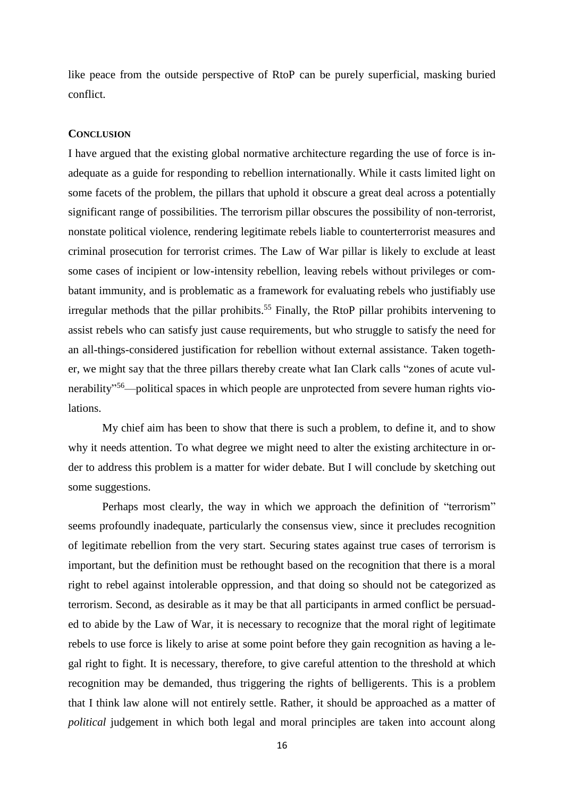like peace from the outside perspective of RtoP can be purely superficial, masking buried conflict.

### **CONCLUSION**

I have argued that the existing global normative architecture regarding the use of force is inadequate as a guide for responding to rebellion internationally. While it casts limited light on some facets of the problem, the pillars that uphold it obscure a great deal across a potentially significant range of possibilities. The terrorism pillar obscures the possibility of non-terrorist, nonstate political violence, rendering legitimate rebels liable to counterterrorist measures and criminal prosecution for terrorist crimes. The Law of War pillar is likely to exclude at least some cases of incipient or low-intensity rebellion, leaving rebels without privileges or combatant immunity, and is problematic as a framework for evaluating rebels who justifiably use irregular methods that the pillar prohibits.<sup>55</sup> Finally, the RtoP pillar prohibits intervening to assist rebels who can satisfy just cause requirements, but who struggle to satisfy the need for an all-things-considered justification for rebellion without external assistance. Taken together, we might say that the three pillars thereby create what Ian Clark calls "zones of acute vulnerability"<sup>56</sup>—political spaces in which people are unprotected from severe human rights violations.

My chief aim has been to show that there is such a problem, to define it, and to show why it needs attention. To what degree we might need to alter the existing architecture in order to address this problem is a matter for wider debate. But I will conclude by sketching out some suggestions.

Perhaps most clearly, the way in which we approach the definition of "terrorism" seems profoundly inadequate, particularly the consensus view, since it precludes recognition of legitimate rebellion from the very start. Securing states against true cases of terrorism is important, but the definition must be rethought based on the recognition that there is a moral right to rebel against intolerable oppression, and that doing so should not be categorized as terrorism. Second, as desirable as it may be that all participants in armed conflict be persuaded to abide by the Law of War, it is necessary to recognize that the moral right of legitimate rebels to use force is likely to arise at some point before they gain recognition as having a legal right to fight. It is necessary, therefore, to give careful attention to the threshold at which recognition may be demanded, thus triggering the rights of belligerents. This is a problem that I think law alone will not entirely settle. Rather, it should be approached as a matter of *political* judgement in which both legal and moral principles are taken into account along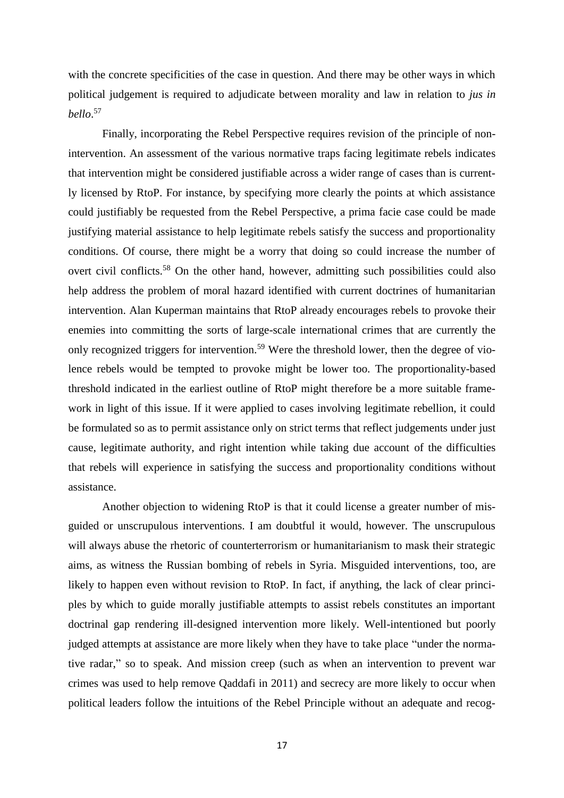with the concrete specificities of the case in question. And there may be other ways in which political judgement is required to adjudicate between morality and law in relation to *jus in bello*. 57

Finally, incorporating the Rebel Perspective requires revision of the principle of nonintervention. An assessment of the various normative traps facing legitimate rebels indicates that intervention might be considered justifiable across a wider range of cases than is currently licensed by RtoP. For instance, by specifying more clearly the points at which assistance could justifiably be requested from the Rebel Perspective, a prima facie case could be made justifying material assistance to help legitimate rebels satisfy the success and proportionality conditions. Of course, there might be a worry that doing so could increase the number of overt civil conflicts.<sup>58</sup> On the other hand, however, admitting such possibilities could also help address the problem of moral hazard identified with current doctrines of humanitarian intervention. Alan Kuperman maintains that RtoP already encourages rebels to provoke their enemies into committing the sorts of large-scale international crimes that are currently the only recognized triggers for intervention.<sup>59</sup> Were the threshold lower, then the degree of violence rebels would be tempted to provoke might be lower too. The proportionality-based threshold indicated in the earliest outline of RtoP might therefore be a more suitable framework in light of this issue. If it were applied to cases involving legitimate rebellion, it could be formulated so as to permit assistance only on strict terms that reflect judgements under just cause, legitimate authority, and right intention while taking due account of the difficulties that rebels will experience in satisfying the success and proportionality conditions without assistance.

Another objection to widening RtoP is that it could license a greater number of misguided or unscrupulous interventions. I am doubtful it would, however. The unscrupulous will always abuse the rhetoric of counterterrorism or humanitarianism to mask their strategic aims, as witness the Russian bombing of rebels in Syria. Misguided interventions, too, are likely to happen even without revision to RtoP. In fact, if anything, the lack of clear principles by which to guide morally justifiable attempts to assist rebels constitutes an important doctrinal gap rendering ill-designed intervention more likely. Well-intentioned but poorly judged attempts at assistance are more likely when they have to take place "under the normative radar," so to speak. And mission creep (such as when an intervention to prevent war crimes was used to help remove Qaddafi in 2011) and secrecy are more likely to occur when political leaders follow the intuitions of the Rebel Principle without an adequate and recog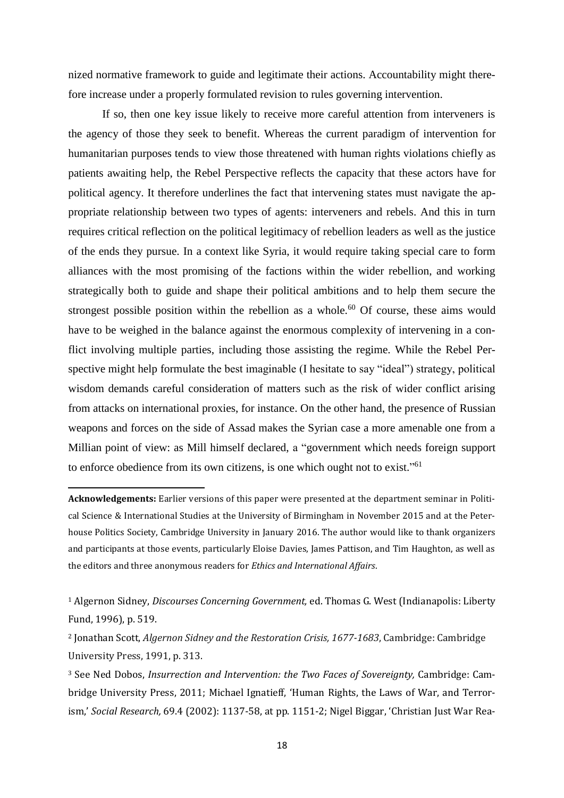nized normative framework to guide and legitimate their actions. Accountability might therefore increase under a properly formulated revision to rules governing intervention.

If so, then one key issue likely to receive more careful attention from interveners is the agency of those they seek to benefit. Whereas the current paradigm of intervention for humanitarian purposes tends to view those threatened with human rights violations chiefly as patients awaiting help, the Rebel Perspective reflects the capacity that these actors have for political agency. It therefore underlines the fact that intervening states must navigate the appropriate relationship between two types of agents: interveners and rebels. And this in turn requires critical reflection on the political legitimacy of rebellion leaders as well as the justice of the ends they pursue. In a context like Syria, it would require taking special care to form alliances with the most promising of the factions within the wider rebellion, and working strategically both to guide and shape their political ambitions and to help them secure the strongest possible position within the rebellion as a whole. $60$  Of course, these aims would have to be weighed in the balance against the enormous complexity of intervening in a conflict involving multiple parties, including those assisting the regime. While the Rebel Perspective might help formulate the best imaginable (I hesitate to say "ideal") strategy, political wisdom demands careful consideration of matters such as the risk of wider conflict arising from attacks on international proxies, for instance. On the other hand, the presence of Russian weapons and forces on the side of Assad makes the Syrian case a more amenable one from a Millian point of view: as Mill himself declared, a "government which needs foreign support to enforce obedience from its own citizens, is one which ought not to exist."<sup>61</sup>

1

<sup>1</sup> Algernon Sidney, *Discourses Concerning Government,* ed. Thomas G. West (Indianapolis: Liberty Fund, 1996), p. 519.

**Acknowledgements:** Earlier versions of this paper were presented at the department seminar in Political Science & International Studies at the University of Birmingham in November 2015 and at the Peterhouse Politics Society, Cambridge University in January 2016. The author would like to thank organizers and participants at those events, particularly Eloise Davies, James Pattison, and Tim Haughton, as well as the editors and three anonymous readers for *Ethics and International Affairs*.

<sup>2</sup> Jonathan Scott, *Algernon Sidney and the Restoration Crisis, 1677-1683*, Cambridge: Cambridge University Press, 1991, p. 313.

<sup>&</sup>lt;sup>3</sup> See Ned Dobos, *Insurrection and Intervention: the Two Faces of Sovereignty*, Cambridge: Cambridge University Press, 2011; Michael Ignatieff, 'Human Rights, the Laws of War, and Terrorism,' *Social Research,* 69.4 (2002): 1137-58, at pp. 1151-2; Nigel Biggar, 'Christian Just War Rea-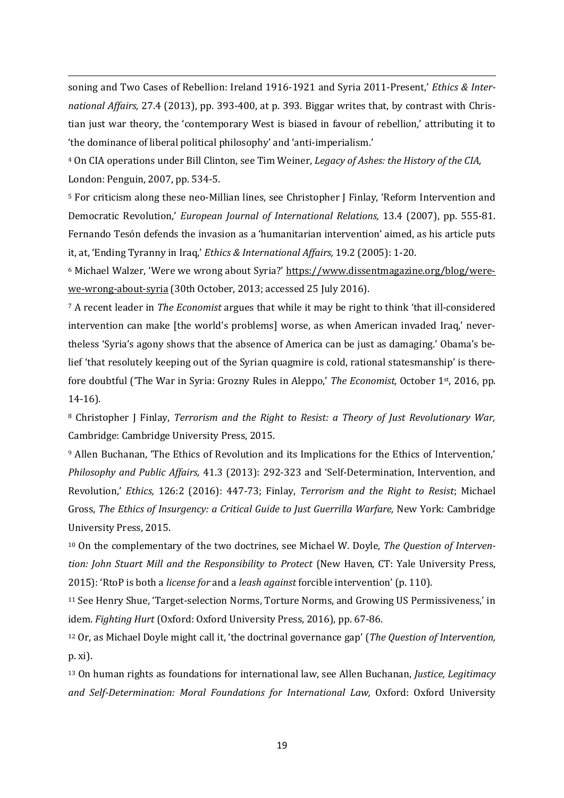soning and Two Cases of Rebellion: Ireland 1916-1921 and Syria 2011-Present,' *Ethics & International Affairs,* 27.4 (2013), pp. 393-400, at p. 393. Biggar writes that, by contrast with Christian just war theory, the 'contemporary West is biased in favour of rebellion,' attributing it to 'the dominance of liberal political philosophy' and 'anti-imperialism.'

**.** 

<sup>4</sup> On CIA operations under Bill Clinton, see Tim Weiner, *Legacy of Ashes: the History of the CIA,*  London: Penguin, 2007, pp. 534-5.

<sup>5</sup> For criticism along these neo-Millian lines, see Christopher J Finlay, 'Reform Intervention and Democratic Revolution,' *European Journal of International Relations,* 13.4 (2007), pp. 555-81. Fernando Tesón defends the invasion as a 'humanitarian intervention' aimed, as his article puts it, at, 'Ending Tyranny in Iraq,' *Ethics & International Affairs,* 19.2 (2005): 1-20.

<sup>6</sup> Michael Walzer, 'Were we wrong about Syria?' [https://www.dissentmagazine.org/blog/were](https://www.dissentmagazine.org/blog/were-we-wrong-about-syria)[we-wrong-about-syria](https://www.dissentmagazine.org/blog/were-we-wrong-about-syria) (30th October, 2013; accessed 25 July 2016).

<sup>7</sup> A recent leader in *The Economist* argues that while it may be right to think 'that ill-considered intervention can make [the world's problems] worse, as when American invaded Iraq,' nevertheless 'Syria's agony shows that the absence of America can be just as damaging.' Obama's belief 'that resolutely keeping out of the Syrian quagmire is cold, rational statesmanship' is therefore doubtful ('The War in Syria: Grozny Rules in Aleppo,' *The Economist,* October 1st, 2016, pp. 14-16).

<sup>8</sup> Christopher J Finlay, *Terrorism and the Right to Resist: a Theory of Just Revolutionary War,*  Cambridge: Cambridge University Press, 2015.

<sup>9</sup> Allen Buchanan, 'The Ethics of Revolution and its Implications for the Ethics of Intervention,' *Philosophy and Public Affairs,* 41.3 (2013): 292-323 and 'Self-Determination, Intervention, and Revolution,' *Ethics,* 126:2 (2016): 447-73; Finlay, *Terrorism and the Right to Resist*; Michael Gross, *The Ethics of Insurgency: a Critical Guide to Just Guerrilla Warfare,* New York: Cambridge University Press, 2015.

<sup>10</sup> On the complementary of the two doctrines, see Michael W. Doyle, *The Question of Intervention: John Stuart Mill and the Responsibility to Protect* (New Haven, CT: Yale University Press, 2015): 'RtoP is both a *license for* and a *leash against* forcible intervention' (p. 110).

<sup>11</sup> See Henry Shue, 'Target-selection Norms, Torture Norms, and Growing US Permissiveness,' in idem. *Fighting Hurt* (Oxford: Oxford University Press, 2016), pp. 67-86.

<sup>12</sup> Or, as Michael Doyle might call it, 'the doctrinal governance gap' (*The Question of Intervention,* p. xi).

<sup>13</sup> On human rights as foundations for international law, see Allen Buchanan, *Justice, Legitimacy and Self-Determination: Moral Foundations for International Law,* Oxford: Oxford University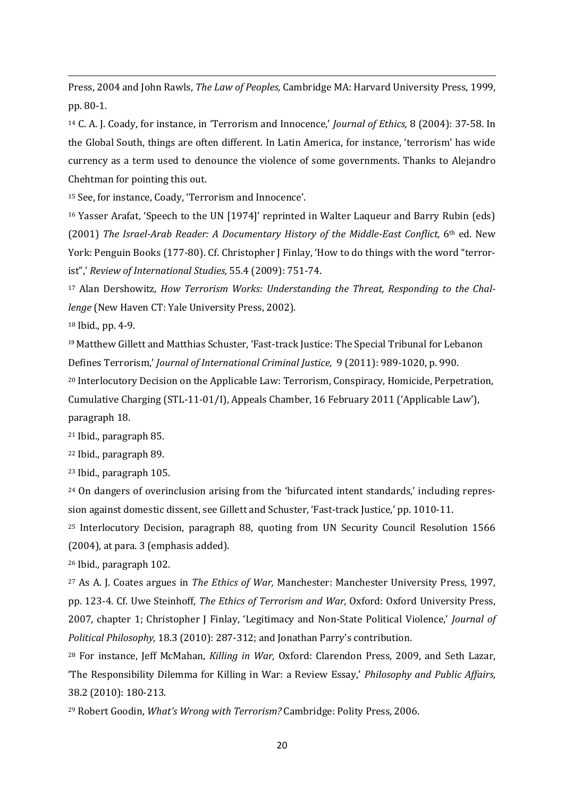Press, 2004 and John Rawls, *The Law of Peoples,* Cambridge MA: Harvard University Press, 1999, pp. 80-1.

<sup>14</sup> C. A. J. Coady, for instance, in 'Terrorism and Innocence,' *Journal of Ethics,* 8 (2004): 37-58. In the Global South, things are often different. In Latin America, for instance, 'terrorism' has wide currency as a term used to denounce the violence of some governments. Thanks to Alejandro Chehtman for pointing this out.

<sup>15</sup> See, for instance, Coady, 'Terrorism and Innocence'.

<sup>16</sup> Yasser Arafat, 'Speech to the UN [1974]' reprinted in Walter Laqueur and Barry Rubin (eds) (2001) *The Israel-Arab Reader: A Documentary History of the Middle-East Conflict,* 6th ed. New York: Penguin Books (177-80). Cf. Christopher J Finlay, 'How to do things with the word "terrorist",' *Review of International Studies,* 55.4 (2009): 751-74.

<sup>17</sup> Alan Dershowitz, *How Terrorism Works: Understanding the Threat, Responding to the Challenge* (New Haven CT: Yale University Press, 2002).

<sup>18</sup> Ibid., pp. 4-9.

**.** 

<sup>19</sup> Matthew Gillett and Matthias Schuster, 'Fast-track Justice: The Special Tribunal for Lebanon Defines Terrorism,' *Journal of International Criminal Justice,* 9 (2011): 989-1020, p. 990.

<sup>20</sup> Interlocutory Decision on the Applicable Law: Terrorism, Conspiracy, Homicide, Perpetration, Cumulative Charging (STL-11-01/I), Appeals Chamber, 16 February 2011 ('Applicable Law'), paragraph 18.

<sup>21</sup> Ibid., paragraph 85.

<sup>22</sup> Ibid., paragraph 89.

<sup>23</sup> Ibid., paragraph 105.

<sup>24</sup> On dangers of overinclusion arising from the 'bifurcated intent standards,' including repression against domestic dissent, see Gillett and Schuster, 'Fast-track Justice,' pp. 1010-11.

<sup>25</sup> Interlocutory Decision, paragraph 88, quoting from UN Security Council Resolution 1566 (2004), at para. 3 (emphasis added).

<sup>26</sup> Ibid., paragraph 102.

<sup>27</sup> As A. J. Coates argues in *The Ethics of War,* Manchester: Manchester University Press, 1997, pp. 123-4. Cf. Uwe Steinhoff, *The Ethics of Terrorism and War,* Oxford: Oxford University Press, 2007, chapter 1; Christopher J Finlay, 'Legitimacy and Non-State Political Violence,' *Journal of Political Philosophy,* 18.3 (2010): 287-312; and Jonathan Parry's contribution.

<sup>28</sup> For instance, Jeff McMahan, *Killing in War,* Oxford: Clarendon Press, 2009, and Seth Lazar, 'The Responsibility Dilemma for Killing in War: a Review Essay,' *Philosophy and Public Affairs,*  38.2 (2010): 180-213.

<sup>29</sup> Robert Goodin, *What's Wrong with Terrorism?* Cambridge: Polity Press, 2006.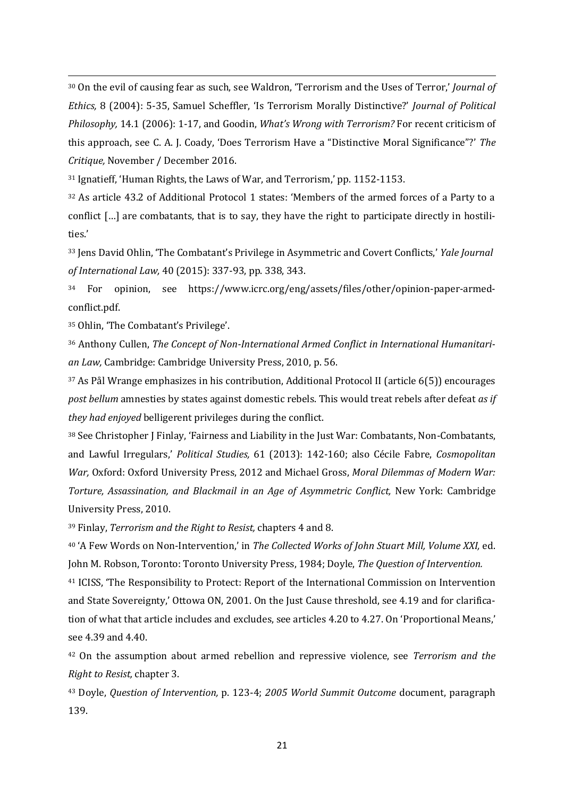<sup>30</sup> On the evil of causing fear as such, see Waldron, 'Terrorism and the Uses of Terror,' *Journal of Ethics,* 8 (2004): 5-35, Samuel Scheffler, 'Is Terrorism Morally Distinctive?' *Journal of Political Philosophy,* 14.1 (2006): 1-17, and Goodin, *What's Wrong with Terrorism?* For recent criticism of this approach, see C. A. J. Coady, 'Does Terrorism Have a "Distinctive Moral Significance"?' *The Critique,* November / December 2016.

<sup>31</sup> Ignatieff, 'Human Rights, the Laws of War, and Terrorism,' pp. 1152-1153.

<sup>32</sup> As article 43.2 of Additional Protocol 1 states: 'Members of the armed forces of a Party to a conflict […] are combatants, that is to say, they have the right to participate directly in hostilities.'

<sup>33</sup> Jens David Ohlin, 'The Combatant's Privilege in Asymmetric and Covert Conflicts,' *Yale Journal of International Law,* 40 (2015): 337-93, pp. 338, 343.

<sup>34</sup> For opinion, see https://www.icrc.org/eng/assets/files/other/opinion-paper-armedconflict.pdf.

<sup>35</sup> Ohlin, 'The Combatant's Privilege'.

**.** 

<sup>36</sup> Anthony Cullen, *The Concept of Non-International Armed Conflict in International Humanitarian Law,* Cambridge: Cambridge University Press, 2010, p. 56.

<sup>37</sup> As Pål Wrange emphasizes in his contribution, Additional Protocol II (article 6(5)) encourages *post bellum* amnesties by states against domestic rebels. This would treat rebels after defeat *as if they had enjoyed* belligerent privileges during the conflict.

<sup>38</sup> See Christopher J Finlay, 'Fairness and Liability in the Just War: Combatants, Non-Combatants, and Lawful Irregulars,' *Political Studies,* 61 (2013): 142-160; also Cécile Fabre, *Cosmopolitan War,* Oxford: Oxford University Press, 2012 and Michael Gross, *Moral Dilemmas of Modern War: Torture, Assassination, and Blackmail in an Age of Asymmetric Conflict,* New York: Cambridge University Press, 2010.

<sup>39</sup> Finlay, *Terrorism and the Right to Resist,* chapters 4 and 8.

<sup>40</sup> 'A Few Words on Non-Intervention,' in *The Collected Works of John Stuart Mill, Volume XXI,* ed. John M. Robson, Toronto: Toronto University Press, 1984; Doyle, *The Question of Intervention.* 

<sup>41</sup> ICISS, 'The Responsibility to Protect: Report of the International Commission on Intervention and State Sovereignty,' Ottowa ON, 2001. On the Just Cause threshold, see 4.19 and for clarification of what that article includes and excludes, see articles 4.20 to 4.27. On 'Proportional Means,' see 4.39 and 4.40.

<sup>42</sup> On the assumption about armed rebellion and repressive violence, see *Terrorism and the Right to Resist,* chapter 3.

<sup>43</sup> Doyle, *Question of Intervention,* p. 123-4; *2005 World Summit Outcome* document, paragraph 139.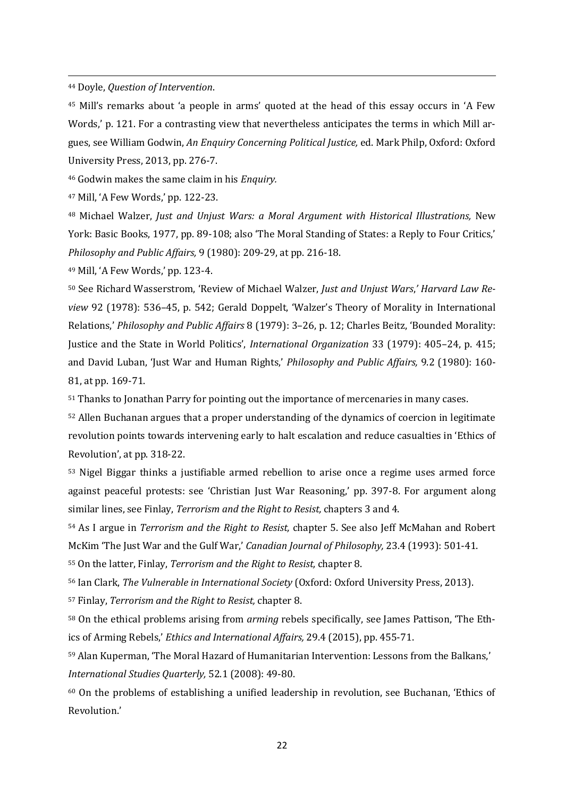<sup>44</sup> Doyle, *Question of Intervention*.

**.** 

<sup>45</sup> Mill's remarks about 'a people in arms' quoted at the head of this essay occurs in 'A Few Words,' p. 121. For a contrasting view that nevertheless anticipates the terms in which Mill argues, see William Godwin, *An Enquiry Concerning Political Justice,* ed. Mark Philp, Oxford: Oxford University Press, 2013, pp. 276-7.

<sup>46</sup> Godwin makes the same claim in his *Enquiry.*

<sup>47</sup> Mill, 'A Few Words,' pp. 122-23.

<sup>48</sup> Michael Walzer, *Just and Unjust Wars: a Moral Argument with Historical Illustrations,* New York: Basic Books, 1977, pp. 89-108; also 'The Moral Standing of States: a Reply to Four Critics,' *Philosophy and Public Affairs,* 9 (1980): 209-29, at pp. 216-18.

<sup>49</sup> Mill, 'A Few Words,' pp. 123-4.

<sup>50</sup> See Richard Wasserstrom, 'Review of Michael Walzer, *Just and Unjust Wars*,*' Harvard Law Review* 92 (1978): 536–45, p. 542; Gerald Doppelt, 'Walzer's Theory of Morality in International Relations,' *Philosophy and Public Affairs* 8 (1979): 3–26, p. 12; Charles Beitz, 'Bounded Morality: Justice and the State in World Politics', *International Organization* 33 (1979): 405–24, p. 415; and David Luban, 'Just War and Human Rights,' *Philosophy and Public Affairs,* 9.2 (1980): 160- 81, at pp. 169-71.

<sup>51</sup> Thanks to Jonathan Parry for pointing out the importance of mercenaries in many cases.

<sup>52</sup> Allen Buchanan argues that a proper understanding of the dynamics of coercion in legitimate revolution points towards intervening early to halt escalation and reduce casualties in 'Ethics of Revolution', at pp. 318-22.

<sup>53</sup> Nigel Biggar thinks a justifiable armed rebellion to arise once a regime uses armed force against peaceful protests: see 'Christian Just War Reasoning,' pp. 397-8. For argument along similar lines, see Finlay, *Terrorism and the Right to Resist,* chapters 3 and 4.

<sup>54</sup> As I argue in *Terrorism and the Right to Resist,* chapter 5. See also Jeff McMahan and Robert McKim 'The Just War and the Gulf War,' *Canadian Journal of Philosophy,* 23.4 (1993): 501-41.

<sup>55</sup> On the latter, Finlay, *Terrorism and the Right to Resist,* chapter 8.

<sup>56</sup> Ian Clark, *The Vulnerable in International Society* (Oxford: Oxford University Press, 2013).

<sup>57</sup> Finlay, *Terrorism and the Right to Resist,* chapter 8.

<sup>58</sup> On the ethical problems arising from *arming* rebels specifically, see James Pattison, 'The Ethics of Arming Rebels,' *Ethics and International Affairs,* 29.4 (2015), pp. 455-71.

<sup>59</sup> Alan Kuperman, 'The Moral Hazard of Humanitarian Intervention: Lessons from the Balkans,' *International Studies Quarterly,* 52.1 (2008): 49-80.

<sup>60</sup> On the problems of establishing a unified leadership in revolution, see Buchanan, 'Ethics of Revolution.'